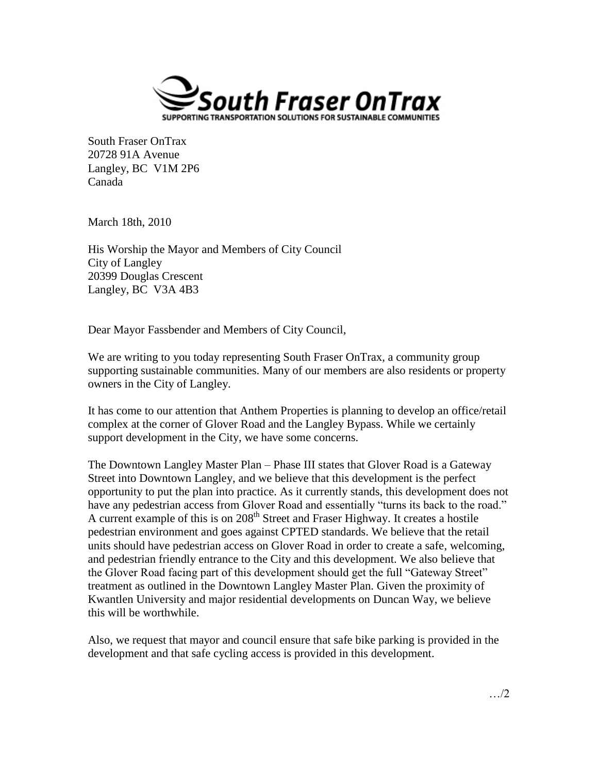

South Fraser OnTrax 20728 91A Avenue Langley, BC V1M 2P6 Canada

March 18th, 2010

His Worship the Mayor and Members of City Council City of Langley 20399 Douglas Crescent Langley, BC V3A 4B3

Dear Mayor Fassbender and Members of City Council,

We are writing to you today representing South Fraser OnTrax, a community group supporting sustainable communities. Many of our members are also residents or property owners in the City of Langley.

It has come to our attention that Anthem Properties is planning to develop an office/retail complex at the corner of Glover Road and the Langley Bypass. While we certainly support development in the City, we have some concerns.

The Downtown Langley Master Plan – Phase III states that Glover Road is a Gateway Street into Downtown Langley, and we believe that this development is the perfect opportunity to put the plan into practice. As it currently stands, this development does not have any pedestrian access from Glover Road and essentially "turns its back to the road." A current example of this is on 208<sup>th</sup> Street and Fraser Highway. It creates a hostile pedestrian environment and goes against CPTED standards. We believe that the retail units should have pedestrian access on Glover Road in order to create a safe, welcoming, and pedestrian friendly entrance to the City and this development. We also believe that the Glover Road facing part of this development should get the full "Gateway Street" treatment as outlined in the Downtown Langley Master Plan. Given the proximity of Kwantlen University and major residential developments on Duncan Way, we believe this will be worthwhile.

Also, we request that mayor and council ensure that safe bike parking is provided in the development and that safe cycling access is provided in this development.